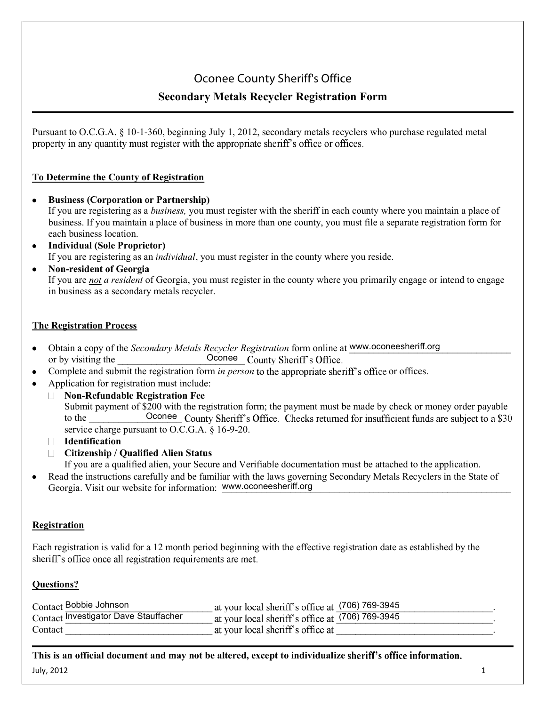## **Oconee County Sheriff's Office**

### **Secondary Metals Recycler Registration Form**

Pursuant to O.C.G.A. § 10-1-360, beginning July 1, 2012, secondary metals recyclers who purchase regulated metal property in any quantity must register with the appropriate sheriff's office or offices.

### **To Determine the County of Registration**

- **Business (Corporation or Partnership)** If you are registering as a *business,* you must register with the sheriff in each county where you maintain a place of business. If you maintain a place of business in more than one county, you must file a separate registration form for each business location.
- **Individual (Sole Proprietor)** If you are registering as an *individual*, you must register in the county where you reside.
- **Nonresident of Georgia**

If you are *not a resident* of Georgia, you must register in the county where you primarily engage or intend to engage in business as a secondary metals recycler.

### **The Registration Process**

- Obtain a copy of the *Secondary Metals Recycler Registration* form online at www.oconeesheriff.org or by visiting the Oconee County Sheriff's Office.
- Complete and submit the registration form *in person* to the appropriate sheriff's office or offices.
- Application for registration must include:
	- **NonRefundable Registration Fee** Submit payment of \$200 with the registration form; the payment must be made by check or money order payable to the  $\begin{array}{ccc} \text{Ocone} \end{array}$  Conection service charge pursuant to O.C.G.A.  $\S$  16-9-20.
	- **Identification**
	- **Citizenship / Qualified Alien Status**

If you are a qualified alien, your Secure and Verifiable documentation must be attached to the application.

Read the instructions carefully and be familiar with the laws governing Secondary Metals Recyclers in the State of Georgia. Visit our website for information: www.oconeesheriff.org

#### **Registration**

Each registration is valid for a 12 month period beginning with the effective registration date as established by the sheriff's office once all registration requirements are met.

#### **Questions?**

| Contact Bobbie Johnson                | at your local sheriff's office at (706) 769-3945 |  |
|---------------------------------------|--------------------------------------------------|--|
| Contact Investigator Dave Stauffacher | at your local sheriff's office at (706) 769-3945 |  |
| Contact                               | at your local sheriff's office at                |  |

**This is an official document and may not be altered, except to individualize**

July, 2012  $1$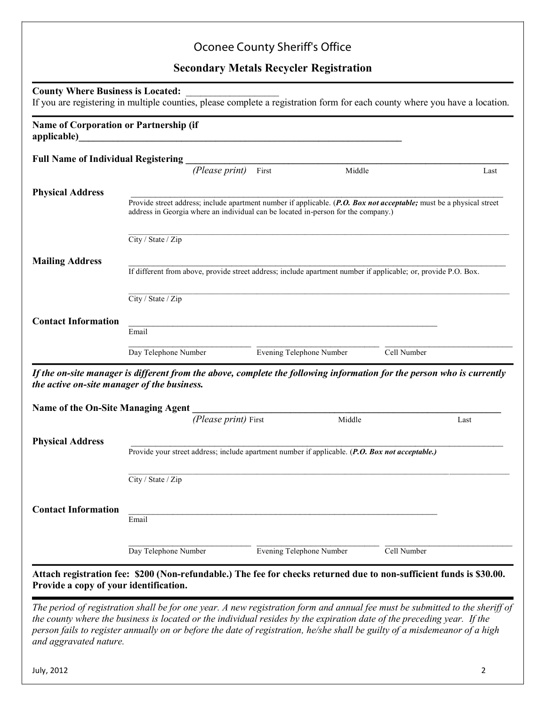# Oconee County Sheriff's Office

# **Secondary Metals Recycler Registration**

| <b>Full Name of Individual Registering</b><br>(Please print)<br>First<br>Middle<br>Last<br><b>Physical Address</b><br>Provide street address; include apartment number if applicable. (P.O. Box not acceptable; must be a physical street<br>address in Georgia where an individual can be located in-person for the company.)<br>City / State / Zip<br><b>Mailing Address</b><br>If different from above, provide street address; include apartment number if applicable; or, provide P.O. Box.<br>City / State / Zip<br><b>Contact Information</b><br>Email<br>Day Telephone Number<br>Evening Telephone Number<br>Cell Number<br>If the on-site manager is different from the above, complete the following information for the person who is currently<br>the active on-site manager of the business.<br><b>Name of the On-Site Managing Agent</b><br>(Please print) First<br>Middle<br>Last<br><b>Physical Address</b><br>Provide your street address; include apartment number if applicable. (P.O. Box not acceptable.)<br>City / State / Zip<br><b>Contact Information</b><br>Email<br>Evening Telephone Number<br>Cell Number<br>Day Telephone Number<br>Attach registration fee: \$200 (Non-refundable.) The fee for checks returned due to non-sufficient funds is \$30.00.<br>Provide a copy of your identification. | <b>Name of Corporation or Partnership (if</b> | applicable) and the contract of the contract of the contract of the contract of the contract of the contract of the contract of the contract of the contract of the contract of the contract of the contract of the contract o |  |  |
|----------------------------------------------------------------------------------------------------------------------------------------------------------------------------------------------------------------------------------------------------------------------------------------------------------------------------------------------------------------------------------------------------------------------------------------------------------------------------------------------------------------------------------------------------------------------------------------------------------------------------------------------------------------------------------------------------------------------------------------------------------------------------------------------------------------------------------------------------------------------------------------------------------------------------------------------------------------------------------------------------------------------------------------------------------------------------------------------------------------------------------------------------------------------------------------------------------------------------------------------------------------------------------------------------------------------------------|-----------------------------------------------|--------------------------------------------------------------------------------------------------------------------------------------------------------------------------------------------------------------------------------|--|--|
|                                                                                                                                                                                                                                                                                                                                                                                                                                                                                                                                                                                                                                                                                                                                                                                                                                                                                                                                                                                                                                                                                                                                                                                                                                                                                                                                  |                                               |                                                                                                                                                                                                                                |  |  |
|                                                                                                                                                                                                                                                                                                                                                                                                                                                                                                                                                                                                                                                                                                                                                                                                                                                                                                                                                                                                                                                                                                                                                                                                                                                                                                                                  |                                               |                                                                                                                                                                                                                                |  |  |
|                                                                                                                                                                                                                                                                                                                                                                                                                                                                                                                                                                                                                                                                                                                                                                                                                                                                                                                                                                                                                                                                                                                                                                                                                                                                                                                                  |                                               |                                                                                                                                                                                                                                |  |  |
|                                                                                                                                                                                                                                                                                                                                                                                                                                                                                                                                                                                                                                                                                                                                                                                                                                                                                                                                                                                                                                                                                                                                                                                                                                                                                                                                  |                                               |                                                                                                                                                                                                                                |  |  |
|                                                                                                                                                                                                                                                                                                                                                                                                                                                                                                                                                                                                                                                                                                                                                                                                                                                                                                                                                                                                                                                                                                                                                                                                                                                                                                                                  |                                               |                                                                                                                                                                                                                                |  |  |
|                                                                                                                                                                                                                                                                                                                                                                                                                                                                                                                                                                                                                                                                                                                                                                                                                                                                                                                                                                                                                                                                                                                                                                                                                                                                                                                                  |                                               |                                                                                                                                                                                                                                |  |  |
|                                                                                                                                                                                                                                                                                                                                                                                                                                                                                                                                                                                                                                                                                                                                                                                                                                                                                                                                                                                                                                                                                                                                                                                                                                                                                                                                  |                                               |                                                                                                                                                                                                                                |  |  |
|                                                                                                                                                                                                                                                                                                                                                                                                                                                                                                                                                                                                                                                                                                                                                                                                                                                                                                                                                                                                                                                                                                                                                                                                                                                                                                                                  |                                               |                                                                                                                                                                                                                                |  |  |
|                                                                                                                                                                                                                                                                                                                                                                                                                                                                                                                                                                                                                                                                                                                                                                                                                                                                                                                                                                                                                                                                                                                                                                                                                                                                                                                                  |                                               |                                                                                                                                                                                                                                |  |  |
|                                                                                                                                                                                                                                                                                                                                                                                                                                                                                                                                                                                                                                                                                                                                                                                                                                                                                                                                                                                                                                                                                                                                                                                                                                                                                                                                  |                                               |                                                                                                                                                                                                                                |  |  |
|                                                                                                                                                                                                                                                                                                                                                                                                                                                                                                                                                                                                                                                                                                                                                                                                                                                                                                                                                                                                                                                                                                                                                                                                                                                                                                                                  |                                               |                                                                                                                                                                                                                                |  |  |
|                                                                                                                                                                                                                                                                                                                                                                                                                                                                                                                                                                                                                                                                                                                                                                                                                                                                                                                                                                                                                                                                                                                                                                                                                                                                                                                                  |                                               |                                                                                                                                                                                                                                |  |  |
|                                                                                                                                                                                                                                                                                                                                                                                                                                                                                                                                                                                                                                                                                                                                                                                                                                                                                                                                                                                                                                                                                                                                                                                                                                                                                                                                  |                                               |                                                                                                                                                                                                                                |  |  |
|                                                                                                                                                                                                                                                                                                                                                                                                                                                                                                                                                                                                                                                                                                                                                                                                                                                                                                                                                                                                                                                                                                                                                                                                                                                                                                                                  |                                               |                                                                                                                                                                                                                                |  |  |
|                                                                                                                                                                                                                                                                                                                                                                                                                                                                                                                                                                                                                                                                                                                                                                                                                                                                                                                                                                                                                                                                                                                                                                                                                                                                                                                                  |                                               |                                                                                                                                                                                                                                |  |  |
|                                                                                                                                                                                                                                                                                                                                                                                                                                                                                                                                                                                                                                                                                                                                                                                                                                                                                                                                                                                                                                                                                                                                                                                                                                                                                                                                  |                                               |                                                                                                                                                                                                                                |  |  |
|                                                                                                                                                                                                                                                                                                                                                                                                                                                                                                                                                                                                                                                                                                                                                                                                                                                                                                                                                                                                                                                                                                                                                                                                                                                                                                                                  |                                               |                                                                                                                                                                                                                                |  |  |
|                                                                                                                                                                                                                                                                                                                                                                                                                                                                                                                                                                                                                                                                                                                                                                                                                                                                                                                                                                                                                                                                                                                                                                                                                                                                                                                                  |                                               |                                                                                                                                                                                                                                |  |  |
|                                                                                                                                                                                                                                                                                                                                                                                                                                                                                                                                                                                                                                                                                                                                                                                                                                                                                                                                                                                                                                                                                                                                                                                                                                                                                                                                  |                                               |                                                                                                                                                                                                                                |  |  |
|                                                                                                                                                                                                                                                                                                                                                                                                                                                                                                                                                                                                                                                                                                                                                                                                                                                                                                                                                                                                                                                                                                                                                                                                                                                                                                                                  |                                               |                                                                                                                                                                                                                                |  |  |
|                                                                                                                                                                                                                                                                                                                                                                                                                                                                                                                                                                                                                                                                                                                                                                                                                                                                                                                                                                                                                                                                                                                                                                                                                                                                                                                                  |                                               |                                                                                                                                                                                                                                |  |  |